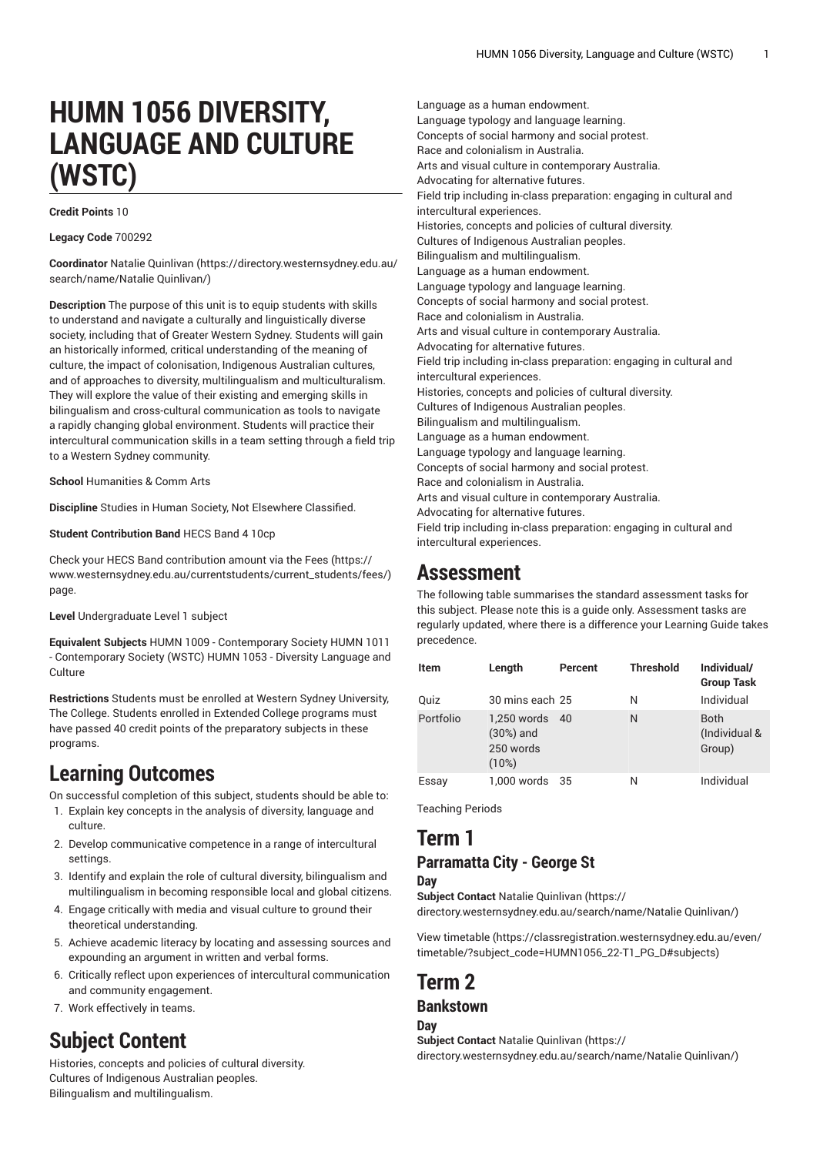# **HUMN 1056 DIVERSITY, LANGUAGE AND CULTURE (WSTC)**

#### **Credit Points** 10

**Legacy Code** 700292

**Coordinator** Natalie [Quinlivan](https://directory.westernsydney.edu.au/search/name/Natalie Quinlivan/) [\(https://directory.westernsydney.edu.au/](https://directory.westernsydney.edu.au/search/name/Natalie Quinlivan/) [search/name/Natalie](https://directory.westernsydney.edu.au/search/name/Natalie Quinlivan/) Quinlivan/)

**Description** The purpose of this unit is to equip students with skills to understand and navigate a culturally and linguistically diverse society, including that of Greater Western Sydney. Students will gain an historically informed, critical understanding of the meaning of culture, the impact of colonisation, Indigenous Australian cultures, and of approaches to diversity, multilingualism and multiculturalism. They will explore the value of their existing and emerging skills in bilingualism and cross-cultural communication as tools to navigate a rapidly changing global environment. Students will practice their intercultural communication skills in a team setting through a field trip to a Western Sydney community.

**School** Humanities & Comm Arts

**Discipline** Studies in Human Society, Not Elsewhere Classified.

**Student Contribution Band** HECS Band 4 10cp

Check your HECS Band contribution amount via the [Fees \(https://](https://www.westernsydney.edu.au/currentstudents/current_students/fees/) [www.westernsydney.edu.au/currentstudents/current\\_students/fees/\)](https://www.westernsydney.edu.au/currentstudents/current_students/fees/) page.

**Level** Undergraduate Level 1 subject

**Equivalent Subjects** HUMN 1009 - Contemporary Society HUMN 1011 - Contemporary Society (WSTC) [HUMN 1053](/search/?P=HUMN%201053) - Diversity Language and **Culture** 

**Restrictions** Students must be enrolled at Western Sydney University, The College. Students enrolled in Extended College programs must have passed 40 credit points of the preparatory subjects in these programs.

## **Learning Outcomes**

On successful completion of this subject, students should be able to:

- 1. Explain key concepts in the analysis of diversity, language and culture.
- 2. Develop communicative competence in a range of intercultural settings.
- 3. Identify and explain the role of cultural diversity, bilingualism and multilingualism in becoming responsible local and global citizens.
- 4. Engage critically with media and visual culture to ground their theoretical understanding.
- 5. Achieve academic literacy by locating and assessing sources and expounding an argument in written and verbal forms.
- 6. Critically reflect upon experiences of intercultural communication and community engagement.
- 7. Work effectively in teams.

## **Subject Content**

Histories, concepts and policies of cultural diversity. Cultures of Indigenous Australian peoples. Bilingualism and multilingualism.

Language as a human endowment. Language typology and language learning. Concepts of social harmony and social protest. Race and colonialism in Australia. Arts and visual culture in contemporary Australia. Advocating for alternative futures. Field trip including in-class preparation: engaging in cultural and intercultural experiences. Histories, concepts and policies of cultural diversity. Cultures of Indigenous Australian peoples. Bilingualism and multilingualism. Language as a human endowment. Language typology and language learning. Concepts of social harmony and social protest. Race and colonialism in Australia. Arts and visual culture in contemporary Australia. Advocating for alternative futures. Field trip including in-class preparation: engaging in cultural and intercultural experiences. Histories, concepts and policies of cultural diversity. Cultures of Indigenous Australian peoples. Bilingualism and multilingualism. Language as a human endowment. Language typology and language learning. Concepts of social harmony and social protest. Race and colonialism in Australia. Arts and visual culture in contemporary Australia. Advocating for alternative futures. Field trip including in-class preparation: engaging in cultural and intercultural experiences.

## **Assessment**

The following table summarises the standard assessment tasks for this subject. Please note this is a guide only. Assessment tasks are regularly updated, where there is a difference your Learning Guide takes precedence.

| <b>Item</b> | Length                                           | Percent | <b>Threshold</b> | Individual/<br><b>Group Task</b>       |
|-------------|--------------------------------------------------|---------|------------------|----------------------------------------|
| Quiz        | 30 mins each 25                                  |         | N                | Individual                             |
| Portfolio   | 1,250 words<br>$(30%)$ and<br>250 words<br>(10%) | 40      | N                | <b>Both</b><br>(Individual &<br>Group) |
| Essay       | 1.000 words 35                                   |         | N                | Individual                             |

Teaching Periods

## **Term 1**

#### **Parramatta City - George St Day**

**Subject Contact** Natalie [Quinlivan \(https://](https://directory.westernsydney.edu.au/search/name/Natalie Quinlivan/) [directory.westernsydney.edu.au/search/name/Natalie](https://directory.westernsydney.edu.au/search/name/Natalie Quinlivan/) Quinlivan/)

[View timetable](https://classregistration.westernsydney.edu.au/even/timetable/?subject_code=HUMN1056_22-T1_PG_D#subjects) [\(https://classregistration.westernsydney.edu.au/even/](https://classregistration.westernsydney.edu.au/even/timetable/?subject_code=HUMN1056_22-T1_PG_D#subjects) [timetable/?subject\\_code=HUMN1056\\_22-T1\\_PG\\_D#subjects](https://classregistration.westernsydney.edu.au/even/timetable/?subject_code=HUMN1056_22-T1_PG_D#subjects))

## **Term 2**

#### **Bankstown**

**Day**

**Subject Contact** Natalie [Quinlivan \(https://](https://directory.westernsydney.edu.au/search/name/Natalie Quinlivan/) [directory.westernsydney.edu.au/search/name/Natalie](https://directory.westernsydney.edu.au/search/name/Natalie Quinlivan/) Quinlivan/)